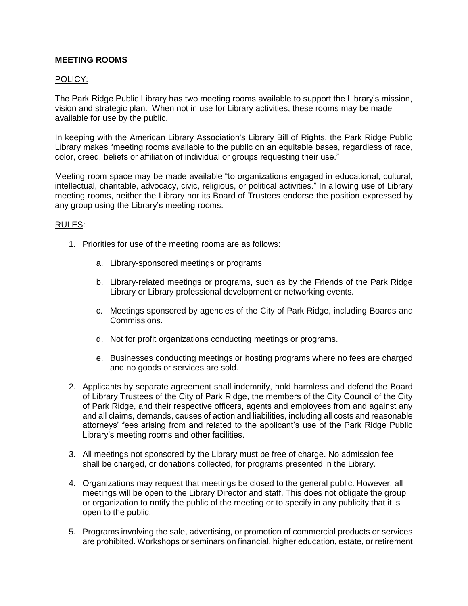## **MEETING ROOMS**

## POLICY:

The Park Ridge Public Library has two meeting rooms available to support the Library's mission, vision and strategic plan. When not in use for Library activities, these rooms may be made available for use by the public.

In keeping with the American Library Association's Library Bill of Rights, the Park Ridge Public Library makes "meeting rooms available to the public on an equitable bases, regardless of race, color, creed, beliefs or affiliation of individual or groups requesting their use."

Meeting room space may be made available "to organizations engaged in educational, cultural, intellectual, charitable, advocacy, civic, religious, or political activities." In allowing use of Library meeting rooms, neither the Library nor its Board of Trustees endorse the position expressed by any group using the Library's meeting rooms.

## RULES:

- 1. Priorities for use of the meeting rooms are as follows:
	- a. Library-sponsored meetings or programs
	- b. Library-related meetings or programs, such as by the Friends of the Park Ridge Library or Library professional development or networking events.
	- c. Meetings sponsored by agencies of the City of Park Ridge, including Boards and Commissions.
	- d. Not for profit organizations conducting meetings or programs.
	- e. Businesses conducting meetings or hosting programs where no fees are charged and no goods or services are sold.
- 2. Applicants by separate agreement shall indemnify, hold harmless and defend the Board of Library Trustees of the City of Park Ridge, the members of the City Council of the City of Park Ridge, and their respective officers, agents and employees from and against any and all claims, demands, causes of action and liabilities, including all costs and reasonable attorneys' fees arising from and related to the applicant's use of the Park Ridge Public Library's meeting rooms and other facilities.
- 3. All meetings not sponsored by the Library must be free of charge. No admission fee shall be charged, or donations collected, for programs presented in the Library.
- 4. Organizations may request that meetings be closed to the general public. However, all meetings will be open to the Library Director and staff. This does not obligate the group or organization to notify the public of the meeting or to specify in any publicity that it is open to the public.
- 5. Programs involving the sale, advertising, or promotion of commercial products or services are prohibited. Workshops or seminars on financial, higher education, estate, or retirement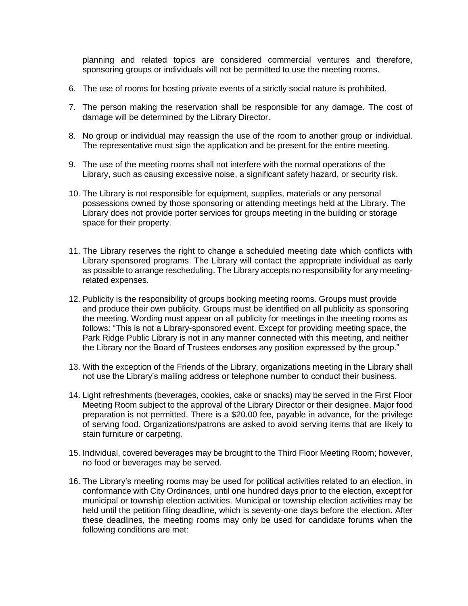planning and related topics are considered commercial ventures and therefore, sponsoring groups or individuals will not be permitted to use the meeting rooms.

- 6. The use of rooms for hosting private events of a strictly social nature is prohibited.
- 7. The person making the reservation shall be responsible for any damage. The cost of damage will be determined by the Library Director.
- 8. No group or individual may reassign the use of the room to another group or individual. The representative must sign the application and be present for the entire meeting.
- 9. The use of the meeting rooms shall not interfere with the normal operations of the Library, such as causing excessive noise, a significant safety hazard, or security risk.
- 10. The Library is not responsible for equipment, supplies, materials or any personal possessions owned by those sponsoring or attending meetings held at the Library. The Library does not provide porter services for groups meeting in the building or storage space for their property.
- 11. The Library reserves the right to change a scheduled meeting date which conflicts with Library sponsored programs. The Library will contact the appropriate individual as early as possible to arrange rescheduling. The Library accepts no responsibility for any meetingrelated expenses.
- 12. Publicity is the responsibility of groups booking meeting rooms. Groups must provide and produce their own publicity. Groups must be identified on all publicity as sponsoring the meeting. Wording must appear on all publicity for meetings in the meeting rooms as follows: "This is not a Library-sponsored event. Except for providing meeting space, the Park Ridge Public Library is not in any manner connected with this meeting, and neither the Library nor the Board of Trustees endorses any position expressed by the group."
- 13. With the exception of the Friends of the Library, organizations meeting in the Library shall not use the Library's mailing address or telephone number to conduct their business.
- 14. Light refreshments (beverages, cookies, cake or snacks) may be served in the First Floor Meeting Room subject to the approval of the Library Director or their designee. Major food preparation is not permitted. There is a \$20.00 fee, payable in advance, for the privilege of serving food. Organizations/patrons are asked to avoid serving items that are likely to stain furniture or carpeting.
- 15. Individual, covered beverages may be brought to the Third Floor Meeting Room; however, no food or beverages may be served.
- 16. The Library's meeting rooms may be used for political activities related to an election, in conformance with City Ordinances, until one hundred days prior to the election, except for municipal or township election activities. Municipal or township election activities may be held until the petition filing deadline, which is seventy-one days before the election. After these deadlines, the meeting rooms may only be used for candidate forums when the following conditions are met: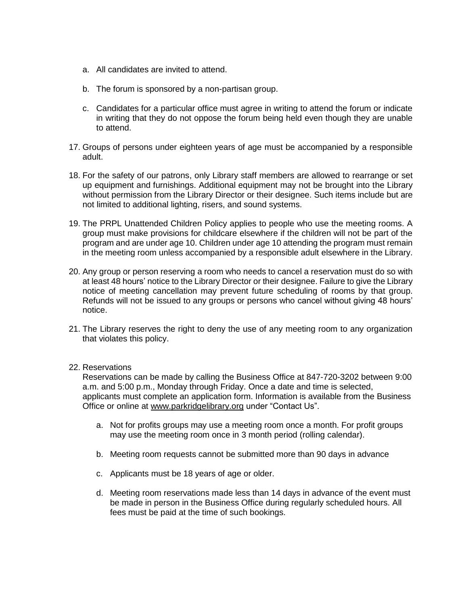- a. All candidates are invited to attend.
- b. The forum is sponsored by a non-partisan group.
- c. Candidates for a particular office must agree in writing to attend the forum or indicate in writing that they do not oppose the forum being held even though they are unable to attend.
- 17. Groups of persons under eighteen years of age must be accompanied by a responsible adult.
- 18. For the safety of our patrons, only Library staff members are allowed to rearrange or set up equipment and furnishings. Additional equipment may not be brought into the Library without permission from the Library Director or their designee. Such items include but are not limited to additional lighting, risers, and sound systems.
- 19. The PRPL Unattended Children Policy applies to people who use the meeting rooms. A group must make provisions for childcare elsewhere if the children will not be part of the program and are under age 10. Children under age 10 attending the program must remain in the meeting room unless accompanied by a responsible adult elsewhere in the Library.
- 20. Any group or person reserving a room who needs to cancel a reservation must do so with at least 48 hours' notice to the Library Director or their designee. Failure to give the Library notice of meeting cancellation may prevent future scheduling of rooms by that group. Refunds will not be issued to any groups or persons who cancel without giving 48 hours' notice.
- 21. The Library reserves the right to deny the use of any meeting room to any organization that violates this policy.

## 22. Reservations

Reservations can be made by calling the Business Office at 847-720-3202 between 9:00 a.m. and 5:00 p.m., Monday through Friday. Once a date and time is selected, applicants must complete an application form. Information is available from the Business Office or online at [www.parkridgelibrary.org](http://www.parkridgelibrary.org/) under "Contact Us".

- a. Not for profits groups may use a meeting room once a month. For profit groups may use the meeting room once in 3 month period (rolling calendar).
- b. Meeting room requests cannot be submitted more than 90 days in advance
- c. Applicants must be 18 years of age or older.
- d. Meeting room reservations made less than 14 days in advance of the event must be made in person in the Business Office during regularly scheduled hours. All fees must be paid at the time of such bookings.